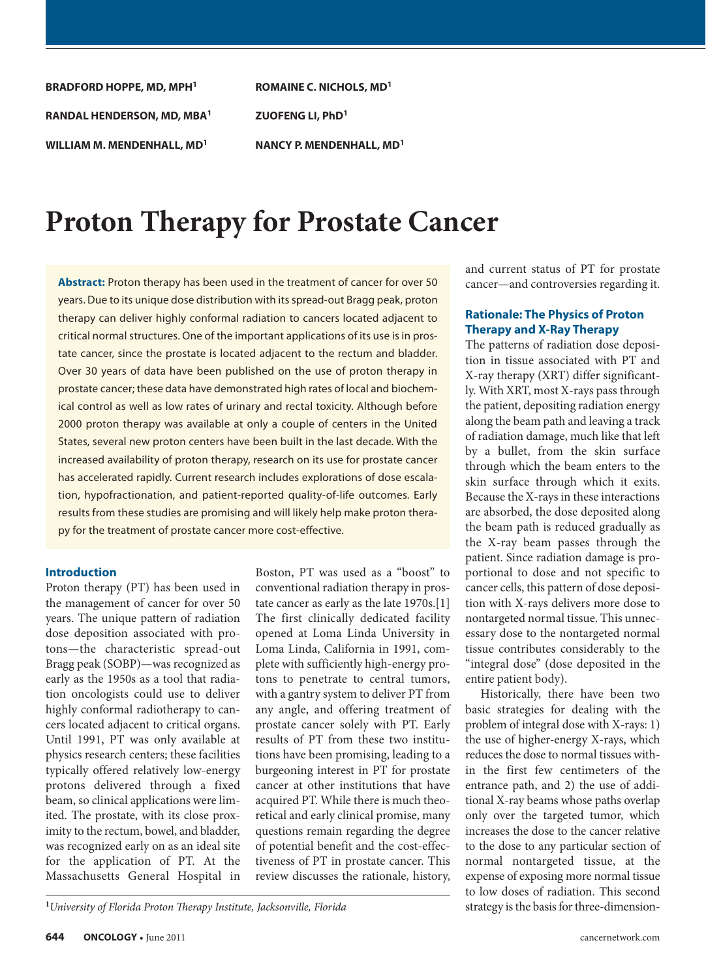**BRADFORD HOPPE, MD, MPH1 RANDAL HENDERSON, MD, MBA1 WILLIAM M. MENDENHALL, MD1**

**ROMAINE C. NICHOLS, MD1 ZUOFENG LI, PhD1 NANCY P. MENDENHALL, MD1**

# **Proton Therapy for Prostate Cancer**

**Abstract:** Proton therapy has been used in the treatment of cancer for over 50 years. Due to its unique dose distribution with its spread-out Bragg peak, proton therapy can deliver highly conformal radiation to cancers located adjacent to critical normal structures. One of the important applications of its use is in prostate cancer, since the prostate is located adjacent to the rectum and bladder. Over 30 years of data have been published on the use of proton therapy in prostate cancer; these data have demonstrated high rates of local and biochemical control as well as low rates of urinary and rectal toxicity. Although before 2000 proton therapy was available at only a couple of centers in the United States, several new proton centers have been built in the last decade. With the increased availability of proton therapy, research on its use for prostate cancer has accelerated rapidly. Current research includes explorations of dose escalation, hypofractionation, and patient-reported quality-of-life outcomes. Early results from these studies are promising and will likely help make proton therapy for the treatment of prostate cancer more cost-effective.

## **Introduction**

Proton therapy (PT) has been used in the management of cancer for over 50 years. The unique pattern of radiation dose deposition associated with protons—the characteristic spread-out Bragg peak (SOBP)—was recognized as early as the 1950s as a tool that radiation oncologists could use to deliver highly conformal radiotherapy to cancers located adjacent to critical organs. Until 1991, PT was only available at physics research centers; these facilities typically offered relatively low-energy protons delivered through a fixed beam, so clinical applications were limited. The prostate, with its close proximity to the rectum, bowel, and bladder, was recognized early on as an ideal site for the application of PT. At the Massachusetts General Hospital in

Boston, PT was used as a "boost" to conventional radiation therapy in prostate cancer as early as the late 1970s.[1] The first clinically dedicated facility opened at Loma Linda University in Loma Linda, California in 1991, complete with sufficiently high-energy protons to penetrate to central tumors, with a gantry system to deliver PT from any angle, and offering treatment of prostate cancer solely with PT. Early results of PT from these two institutions have been promising, leading to a burgeoning interest in PT for prostate cancer at other institutions that have acquired PT. While there is much theoretical and early clinical promise, many questions remain regarding the degree of potential benefit and the cost-effectiveness of PT in prostate cancer. This review discusses the rationale, history, and current status of PT for prostate cancer—and controversies regarding it.

## **Rationale: The Physics of Proton Therapy and X-Ray Therapy**

The patterns of radiation dose deposition in tissue associated with PT and X-ray therapy (XRT) differ significantly. With XRT, most X-rays pass through the patient, depositing radiation energy along the beam path and leaving a track of radiation damage, much like that left by a bullet, from the skin surface through which the beam enters to the skin surface through which it exits. Because the X-rays in these interactions are absorbed, the dose deposited along the beam path is reduced gradually as the X-ray beam passes through the patient. Since radiation damage is proportional to dose and not specific to cancer cells, this pattern of dose deposition with X-rays delivers more dose to nontargeted normal tissue. This unnecessary dose to the nontargeted normal tissue contributes considerably to the "integral dose" (dose deposited in the entire patient body).

Historically, there have been two basic strategies for dealing with the problem of integral dose with X-rays: 1) the use of higher-energy X-rays, which reduces the dose to normal tissues within the first few centimeters of the entrance path, and 2) the use of additional X-ray beams whose paths overlap only over the targeted tumor, which increases the dose to the cancer relative to the dose to any particular section of normal nontargeted tissue, at the expense of exposing more normal tissue to low doses of radiation. This second

strategy is the basis for three-dimension- **<sup>1</sup>***University of Florida Proton Therapy Institute, Jacksonville, Florida*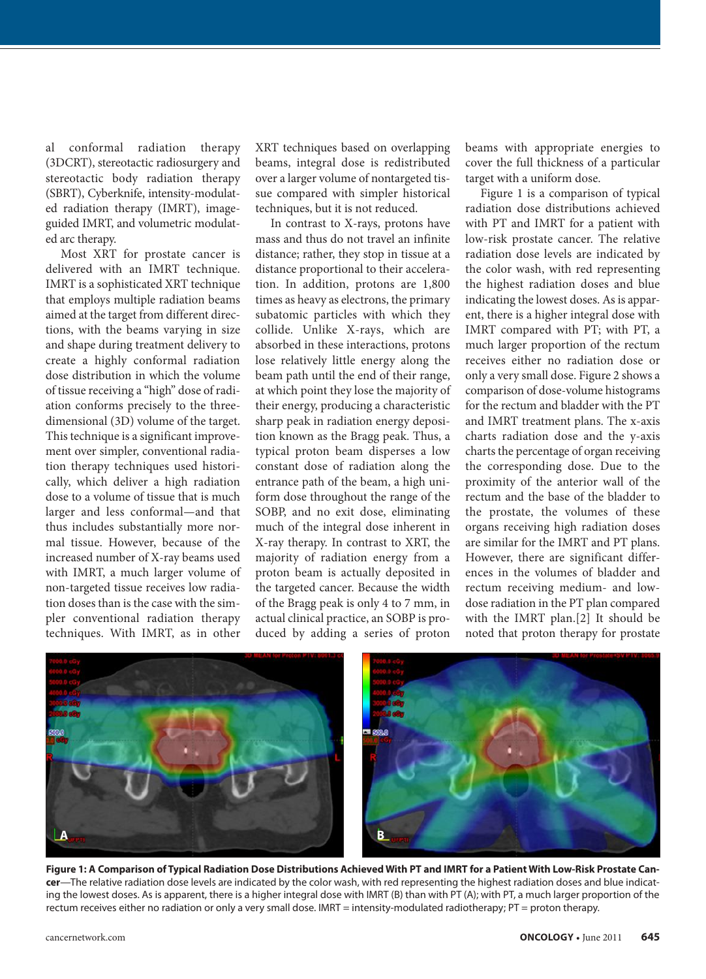al conformal radiation therapy (3DCRT), stereotactic radiosurgery and stereotactic body radiation therapy (SBRT), Cyberknife, intensity-modulated radiation therapy (IMRT), imageguided IMRT, and volumetric modulated arc therapy.

Most XRT for prostate cancer is delivered with an IMRT technique. IMRT is a sophisticated XRT technique that employs multiple radiation beams aimed at the target from different directions, with the beams varying in size and shape during treatment delivery to create a highly conformal radiation dose distribution in which the volume of tissue receiving a "high" dose of radiation conforms precisely to the threedimensional (3D) volume of the target. This technique is a significant improvement over simpler, conventional radiation therapy techniques used historically, which deliver a high radiation dose to a volume of tissue that is much larger and less conformal—and that thus includes substantially more normal tissue. However, because of the increased number of X-ray beams used with IMRT, a much larger volume of non-targeted tissue receives low radiation doses than is the case with the simpler conventional radiation therapy techniques. With IMRT, as in other

XRT techniques based on overlapping beams, integral dose is redistributed over a larger volume of nontargeted tissue compared with simpler historical techniques, but it is not reduced.

In contrast to X-rays, protons have mass and thus do not travel an infinite distance; rather, they stop in tissue at a distance proportional to their acceleration. In addition, protons are 1,800 times as heavy as electrons, the primary subatomic particles with which they collide. Unlike X-rays, which are absorbed in these interactions, protons lose relatively little energy along the beam path until the end of their range, at which point they lose the majority of their energy, producing a characteristic sharp peak in radiation energy deposition known as the Bragg peak. Thus, a typical proton beam disperses a low constant dose of radiation along the entrance path of the beam, a high uniform dose throughout the range of the SOBP, and no exit dose, eliminating much of the integral dose inherent in X-ray therapy. In contrast to XRT, the majority of radiation energy from a proton beam is actually deposited in the targeted cancer. Because the width of the Bragg peak is only 4 to 7 mm, in actual clinical practice, an SOBP is produced by adding a series of proton beams with appropriate energies to cover the full thickness of a particular target with a uniform dose.

Figure 1 is a comparison of typical radiation dose distributions achieved with PT and IMRT for a patient with low-risk prostate cancer. The relative radiation dose levels are indicated by the color wash, with red representing the highest radiation doses and blue indicating the lowest doses. As is apparent, there is a higher integral dose with IMRT compared with PT; with PT, a much larger proportion of the rectum receives either no radiation dose or only a very small dose. Figure 2 shows a comparison of dose-volume histograms for the rectum and bladder with the PT and IMRT treatment plans. The x-axis charts radiation dose and the y-axis charts the percentage of organ receiving the corresponding dose. Due to the proximity of the anterior wall of the rectum and the base of the bladder to the prostate, the volumes of these organs receiving high radiation doses are similar for the IMRT and PT plans. However, there are significant differences in the volumes of bladder and rectum receiving medium- and lowdose radiation in the PT plan compared with the IMRT plan.[2] It should be noted that proton therapy for prostate



Figure 1: A Comparison of Typical Radiation Dose Distributions Achieved With PT and IMRT for a Patient With Low-Risk Prostate Can**cer**—The relative radiation dose levels are indicated by the color wash, with red representing the highest radiation doses and blue indicating the lowest doses. As is apparent, there is a higher integral dose with IMRT (B) than with PT (A); with PT, a much larger proportion of the rectum receives either no radiation or only a very small dose. IMRT = intensity-modulated radiotherapy; PT = proton therapy.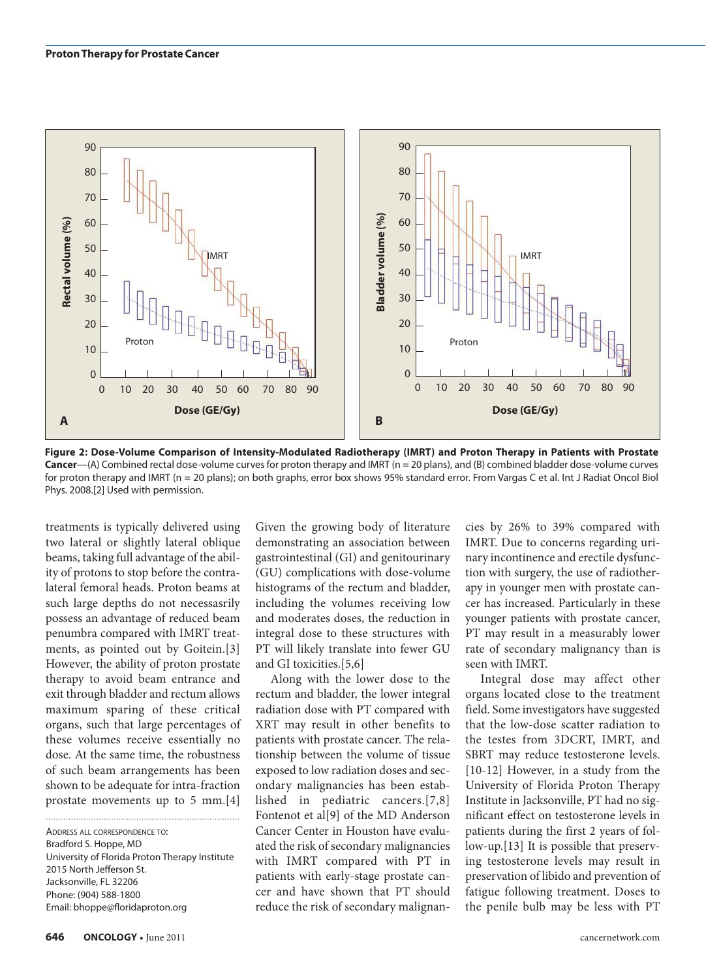

Figure 2: Dose-Volume Comparison of Intensity-Modulated Radiotherapy (IMRT) and Proton Therapy in Patients with Prostate **Cancer**—(A) Combined rectal dose-volume curves for proton therapy and IMRT (n = 20 plans), and (B) combined bladder dose-volume curves for proton therapy and IMRT (n = 20 plans); on both graphs, error box shows 95% standard error. From Vargas C et al. Int J Radiat Oncol Biol Phys. 2008.[2] Used with permission.

treatments is typically delivered using two lateral or slightly lateral oblique beams, taking full advantage of the ability of protons to stop before the contralateral femoral heads. Proton beams at such large depths do not necessasrily possess an advantage of reduced beam penumbra compared with IMRT treatments, as pointed out by Goitein.[3] However, the ability of proton prostate therapy to avoid beam entrance and exit through bladder and rectum allows maximum sparing of these critical organs, such that large percentages of these volumes receive essentially no dose. At the same time, the robustness of such beam arrangements has been shown to be adequate for intra-fraction prostate movements up to 5 mm.[4]

Address all correspondence to: Bradford S. Hoppe, MD University of Florida Proton Therapy Institute 2015 North Jefferson St. Jacksonville, FL 32206 Phone: (904) 588-1800 Email: bhoppe@floridaproton.org

Given the growing body of literature demonstrating an association between gastrointestinal (GI) and genitourinary (GU) complications with dose-volume histograms of the rectum and bladder, including the volumes receiving low and moderates doses, the reduction in integral dose to these structures with PT will likely translate into fewer GU and GI toxicities.[5,6]

Along with the lower dose to the rectum and bladder, the lower integral radiation dose with PT compared with XRT may result in other benefits to patients with prostate cancer. The relationship between the volume of tissue exposed to low radiation doses and secondary malignancies has been established in pediatric cancers.[7,8] Fontenot et al[9] of the MD Anderson Cancer Center in Houston have evaluated the risk of secondary malignancies with IMRT compared with PT in patients with early-stage prostate cancer and have shown that PT should reduce the risk of secondary malignan-

cies by 26% to 39% compared with IMRT. Due to concerns regarding urinary incontinence and erectile dysfunction with surgery, the use of radiotherapy in younger men with prostate cancer has increased. Particularly in these younger patients with prostate cancer, PT may result in a measurably lower rate of secondary malignancy than is seen with IMRT.

Integral dose may affect other organs located close to the treatment field. Some investigators have suggested that the low-dose scatter radiation to the testes from 3DCRT, IMRT, and SBRT may reduce testosterone levels. [10-12] However, in a study from the University of Florida Proton Therapy Institute in Jacksonville, PT had no significant effect on testosterone levels in patients during the first 2 years of follow-up.[13] It is possible that preserving testosterone levels may result in preservation of libido and prevention of fatigue following treatment. Doses to the penile bulb may be less with PT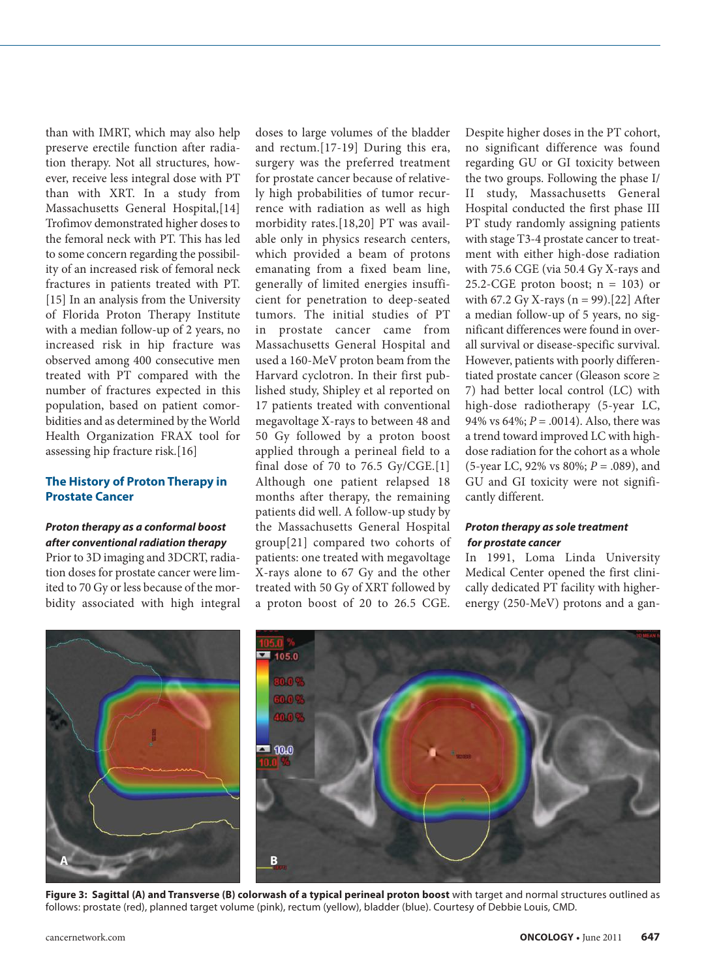than with IMRT, which may also help preserve erectile function after radiation therapy. Not all structures, however, receive less integral dose with PT than with XRT. In a study from Massachusetts General Hospital,[14] Trofimov demonstrated higher doses to the femoral neck with PT. This has led to some concern regarding the possibility of an increased risk of femoral neck fractures in patients treated with PT. [15] In an analysis from the University of Florida Proton Therapy Institute with a median follow-up of 2 years, no increased risk in hip fracture was observed among 400 consecutive men treated with PT compared with the number of fractures expected in this population, based on patient comorbidities and as determined by the World Health Organization FRAX tool for assessing hip fracture risk.[16]

## **The History of Proton Therapy in Prostate Cancer**

#### *Proton therapy as a conformal boost after conventional radiation therapy*

Prior to 3D imaging and 3DCRT, radiation doses for prostate cancer were limited to 70 Gy or less because of the morbidity associated with high integral

doses to large volumes of the bladder and rectum.[17-19] During this era, surgery was the preferred treatment for prostate cancer because of relatively high probabilities of tumor recurrence with radiation as well as high morbidity rates.[18,20] PT was available only in physics research centers, which provided a beam of protons emanating from a fixed beam line, generally of limited energies insufficient for penetration to deep-seated tumors. The initial studies of PT in prostate cancer came from Massachusetts General Hospital and used a 160-MeV proton beam from the Harvard cyclotron. In their first published study, Shipley et al reported on 17 patients treated with conventional megavoltage X-rays to between 48 and 50 Gy followed by a proton boost applied through a perineal field to a final dose of 70 to 76.5 Gy/CGE.[1] Although one patient relapsed 18 months after therapy, the remaining patients did well. A follow-up study by the Massachusetts General Hospital group[21] compared two cohorts of patients: one treated with megavoltage X-rays alone to 67 Gy and the other treated with 50 Gy of XRT followed by a proton boost of 20 to 26.5 CGE.

Despite higher doses in the PT cohort, no significant difference was found regarding GU or GI toxicity between the two groups. Following the phase I/ II study, Massachusetts General Hospital conducted the first phase III PT study randomly assigning patients with stage T3-4 prostate cancer to treatment with either high-dose radiation with 75.6 CGE (via 50.4 Gy X-rays and 25.2-CGE proton boost;  $n = 103$ ) or with 67.2 Gy X-rays ( $n = 99$ ).[22] After a median follow-up of 5 years, no significant differences were found in overall survival or disease-specific survival. However, patients with poorly differentiated prostate cancer (Gleason score ≥ 7) had better local control (LC) with high-dose radiotherapy (5-year LC, 94% vs 64%; *P* = .0014). Also, there was a trend toward improved LC with highdose radiation for the cohort as a whole (5-year LC, 92% vs 80%; *P* = .089), and GU and GI toxicity were not significantly different.

#### *Proton therapy as sole treatment for prostate cancer*

In 1991, Loma Linda University Medical Center opened the first clinically dedicated PT facility with higherenergy (250-MeV) protons and a gan-



**Figure 3: Sagittal (A) and Transverse (B) colorwash of a typical perineal proton boost** with target and normal structures outlined as follows: prostate (red), planned target volume (pink), rectum (yellow), bladder (blue). Courtesy of Debbie Louis, CMD.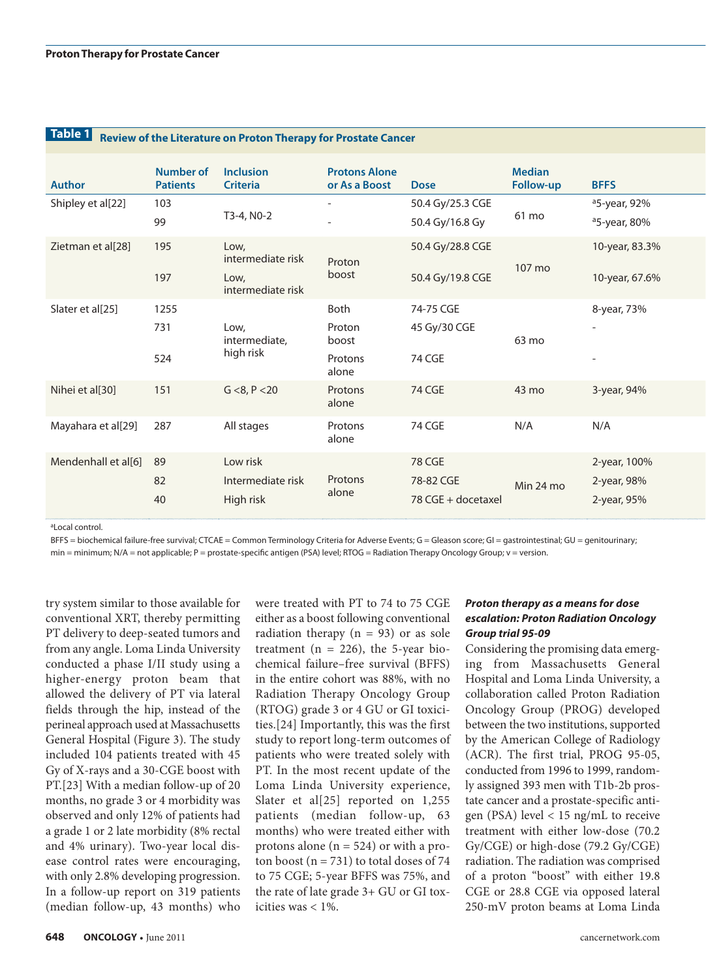| Table 1<br>Review of the Literature on Proton Therapy for Prostate Cancer |                                     |                                                        |                                             |                                           |                            |                                                                     |  |  |
|---------------------------------------------------------------------------|-------------------------------------|--------------------------------------------------------|---------------------------------------------|-------------------------------------------|----------------------------|---------------------------------------------------------------------|--|--|
| Author                                                                    | <b>Number of</b><br><b>Patients</b> | Inclusion<br><b>Criteria</b>                           | <b>Protons Alone</b><br>or As a Boost       | <b>Dose</b>                               | <b>Median</b><br>Follow-up | <b>BFFS</b>                                                         |  |  |
| Shipley et al[22]                                                         | 103<br>99                           | T3-4, N0-2                                             | $\sim$<br>$\sim$                            | 50.4 Gy/25.3 CGE<br>50.4 Gy/16.8 Gy       | 61 mo                      | <sup>a</sup> 5-year, 92%<br><sup>a</sup> 5-year, 80%                |  |  |
| Zietman et al[28]                                                         | 195<br>197                          | Low,<br>intermediate risk<br>Low,<br>intermediate risk | Proton<br>boost                             | 50.4 Gy/28.8 CGE<br>50.4 Gy/19.8 CGE      | 107 mo                     | 10-year, 83.3%<br>10-year, 67.6%                                    |  |  |
| Slater et al[25]                                                          | 1255<br>731<br>524                  | Low,<br>intermediate,<br>high risk                     | Both<br>Proton<br>boost<br>Protons<br>alone | 74-75 CGE<br>45 Gy/30 CGE<br>74 CGE       | 63 mo                      | 8-year, 73%<br>$\overline{\phantom{a}}$<br>$\overline{\phantom{a}}$ |  |  |
| Nihei et al[30]                                                           | 151                                 | G < 8, P < 20                                          | Protons<br>alone                            | 74 CGE                                    | 43 mo                      | 3-year, 94%                                                         |  |  |
| Mayahara et al[29]                                                        | 287                                 | All stages                                             | Protons<br>alone                            | 74 CGE                                    | N/A                        | N/A                                                                 |  |  |
| Mendenhall et al[6] 89                                                    | 82<br>40                            | Low risk<br>Intermediate risk<br>High risk             | Protons<br>alone                            | 78 CGE<br>78-82 CGE<br>78 CGE + docetaxel | Min 24 mo                  | 2-year, 100%<br>2-year, 98%<br>2-year, 95%                          |  |  |

al ocal control.

BFFS = biochemical failure-free survival; CTCAE = Common Terminology Criteria for Adverse Events; G = Gleason score; GI = gastrointestinal; GU = genitourinary; min = minimum; N/A = not applicable; P = prostate-specific antigen (PSA) level; RTOG = Radiation Therapy Oncology Group; v = version.

try system similar to those available for conventional XRT, thereby permitting PT delivery to deep-seated tumors and from any angle. Loma Linda University conducted a phase I/II study using a higher-energy proton beam that allowed the delivery of PT via lateral fields through the hip, instead of the perineal approach used at Massachusetts General Hospital (Figure 3). The study included 104 patients treated with 45 Gy of X-rays and a 30-CGE boost with PT.[23] With a median follow-up of 20 months, no grade 3 or 4 morbidity was observed and only 12% of patients had a grade 1 or 2 late morbidity (8% rectal and 4% urinary). Two-year local disease control rates were encouraging, with only 2.8% developing progression. In a follow-up report on 319 patients (median follow-up, 43 months) who

were treated with PT to 74 to 75 CGE either as a boost following conventional radiation therapy  $(n = 93)$  or as sole treatment ( $n = 226$ ), the 5-year biochemical failure–free survival (BFFS) in the entire cohort was 88%, with no Radiation Therapy Oncology Group (RTOG) grade 3 or 4 GU or GI toxicities.[24] Importantly, this was the first study to report long-term outcomes of patients who were treated solely with PT. In the most recent update of the Loma Linda University experience, Slater et al[25] reported on 1,255 patients (median follow-up, 63 months) who were treated either with protons alone  $(n = 524)$  or with a proton boost ( $n = 731$ ) to total doses of 74 to 75 CGE; 5-year BFFS was 75%, and the rate of late grade 3+ GU or GI toxicities was  $< 1\%$ .

#### *Proton therapy as a means for dose escalation: Proton Radiation Oncology Group trial 95-09*

Considering the promising data emerging from Massachusetts General Hospital and Loma Linda University, a collaboration called Proton Radiation Oncology Group (PROG) developed between the two institutions, supported by the American College of Radiology (ACR). The first trial, PROG 95-05, conducted from 1996 to 1999, randomly assigned 393 men with T1b-2b prostate cancer and a prostate-specific antigen (PSA) level < 15 ng/mL to receive treatment with either low-dose (70.2 Gy/CGE) or high-dose (79.2 Gy/CGE) radiation. The radiation was comprised of a proton "boost" with either 19.8 CGE or 28.8 CGE via opposed lateral 250-mV proton beams at Loma Linda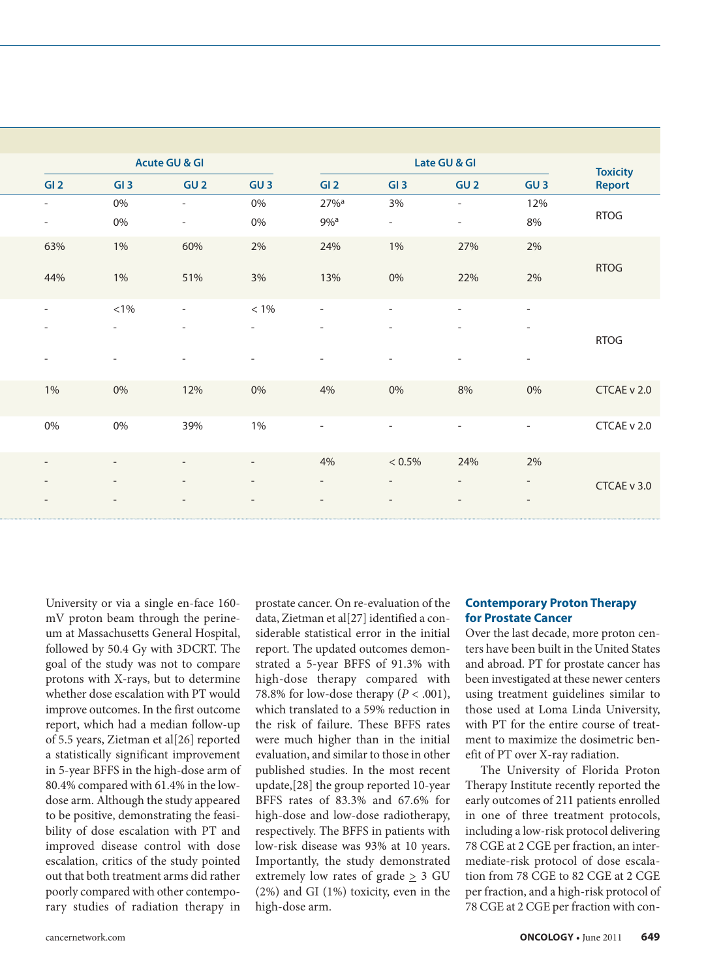| Late GU & GI |                          |                          | <b>Acute GU &amp; GI</b> |                                 |  |                          |  |  |
|--------------|--------------------------|--------------------------|--------------------------|---------------------------------|--|--------------------------|--|--|
| GI3          | GI2                      | GU3                      | GU <sub>2</sub>          | GI3                             |  | GI2                      |  |  |
| 3%           | $27\%$ <sup>a</sup>      | 0%                       |                          | 0%<br>$\sim$                    |  | $\sim$                   |  |  |
|              | $9\%$ <sup>a</sup>       | 0%                       |                          | $0\%$<br>$\sim$                 |  | $\overline{\phantom{0}}$ |  |  |
| $1\%$        | 24%                      | 2%                       | 60%                      | 1%                              |  | 63%                      |  |  |
|              |                          |                          |                          |                                 |  |                          |  |  |
| 0%           | 13%                      | 3%                       | 51%                      | 1%                              |  | 44%                      |  |  |
|              | $\sim$                   | $<1\%$                   |                          | $< 1\%$<br>$\sim$               |  | $-$                      |  |  |
|              | $\overline{\phantom{0}}$ | $\overline{\phantom{0}}$ |                          | $-$<br>$\overline{\phantom{a}}$ |  | $\overline{\phantom{a}}$ |  |  |
|              |                          |                          |                          |                                 |  |                          |  |  |
|              |                          |                          |                          | $\overline{\phantom{0}}$        |  | $\overline{\phantom{a}}$ |  |  |
| 0%           | 4%                       | 0%                       | 12%                      | $0\%$                           |  | 1%                       |  |  |
|              |                          |                          |                          |                                 |  |                          |  |  |
|              | $\overline{\phantom{0}}$ | $1\%$                    | 39%                      | $0\%$                           |  | $0\%$                    |  |  |
|              |                          |                          |                          |                                 |  |                          |  |  |
| $< 0.5\%$    | 4%                       | $\sim$                   |                          | $\overline{\phantom{0}}$        |  | $\overline{\phantom{a}}$ |  |  |
|              |                          |                          |                          |                                 |  | $\overline{\phantom{a}}$ |  |  |
|              |                          |                          |                          |                                 |  | $\overline{\phantom{a}}$ |  |  |
|              |                          |                          |                          |                                 |  |                          |  |  |

University or via a single en-face 160 mV proton beam through the perineum at Massachusetts General Hospital, followed by 50.4 Gy with 3DCRT. The goal of the study was not to compare protons with X-rays, but to determine whether dose escalation with PT would improve outcomes. In the first outcome report, which had a median follow-up of 5.5 years, Zietman et al[26] reported a statistically significant improvement in 5-year BFFS in the high-dose arm of 80.4% compared with 61.4% in the lowdose arm. Although the study appeared to be positive, demonstrating the feasibility of dose escalation with PT and improved disease control with dose escalation, critics of the study pointed out that both treatment arms did rather poorly compared with other contemporary studies of radiation therapy in

prostate cancer. On re-evaluation of the data, Zietman et al[27] identified a considerable statistical error in the initial report. The updated outcomes demonstrated a 5-year BFFS of 91.3% with high-dose therapy compared with 78.8% for low-dose therapy  $(P < .001)$ , which translated to a 59% reduction in the risk of failure. These BFFS rates were much higher than in the initial evaluation, and similar to those in other published studies. In the most recent update,[28] the group reported 10-year BFFS rates of 83.3% and 67.6% for high-dose and low-dose radiotherapy, respectively. The BFFS in patients with low-risk disease was 93% at 10 years. Importantly, the study demonstrated extremely low rates of grade  $\geq$  3 GU (2%) and GI (1%) toxicity, even in the high-dose arm.

## **Contemporary Proton Therapy for Prostate Cancer**

Over the last decade, more proton centers have been built in the United States and abroad. PT for prostate cancer has been investigated at these newer centers using treatment guidelines similar to those used at Loma Linda University, with PT for the entire course of treatment to maximize the dosimetric benefit of PT over X-ray radiation.

The University of Florida Proton Therapy Institute recently reported the early outcomes of 211 patients enrolled in one of three treatment protocols, including a low-risk protocol delivering 78 CGE at 2 CGE per fraction, an intermediate-risk protocol of dose escalation from 78 CGE to 82 CGE at 2 CGE per fraction, and a high-risk protocol of 78 CGE at 2 CGE per fraction with con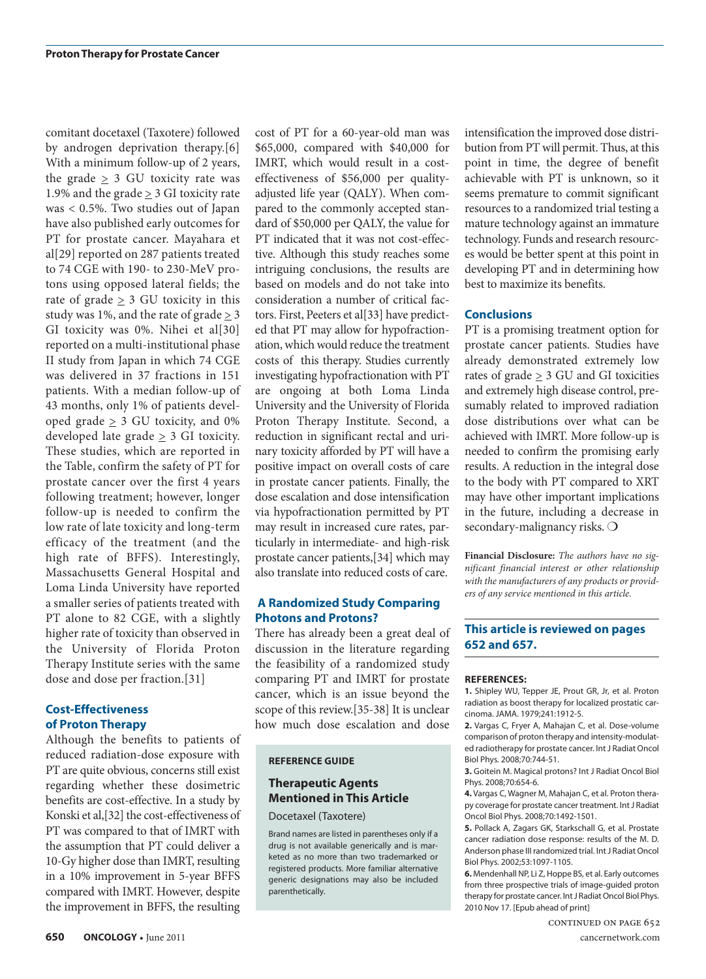comitant docetaxel (Taxotere) followed by androgen deprivation therapy.[6] With a minimum follow-up of 2 years, the grade  $\geq$  3 GU toxicity rate was 1.9% and the grade  $\geq$  3 GI toxicity rate was < 0.5%. Two studies out of Japan have also published early outcomes for PT for prostate cancer. Mayahara et al[29] reported on 287 patients treated to 74 CGE with 190- to 230-MeV protons using opposed lateral fields; the rate of grade > 3 GU toxicity in this study was 1%, and the rate of grade > 3 GI toxicity was 0%. Nihei et al[30] reported on a multi-institutional phase II study from Japan in which 74 CGE was delivered in 37 fractions in 151 patients. With a median follow-up of 43 months, only 1% of patients developed grade > 3 GU toxicity, and 0% developed late grade  $\geq$  3 GI toxicity. These studies, which are reported in the Table, confirm the safety of PT for prostate cancer over the first 4 years following treatment; however, longer follow-up is needed to confirm the low rate of late toxicity and long-term efficacy of the treatment (and the high rate of BFFS). Interestingly, Massachusetts General Hospital and Loma Linda University have reported a smaller series of patients treated with PT alone to 82 CGE, with a slightly higher rate of toxicity than observed in the University of Florida Proton Therapy Institute series with the same dose and dose per fraction.[31]

#### **Cost-Effectiveness of Proton Therapy**

Although the benefits to patients of reduced radiation-dose exposure with PT are quite obvious, concerns still exist regarding whether these dosimetric benefits are cost-effective. In a study by Konski et al,[32] the cost-effectiveness of PT was compared to that of IMRT with the assumption that PT could deliver a 10-Gy higher dose than IMRT, resulting in a 10% improvement in 5-year BFFS compared with IMRT. However, despite the improvement in BFFS, the resulting

cost of PT for a 60-year-old man was \$65,000, compared with \$40,000 for IMRT, which would result in a costeffectiveness of \$56,000 per qualityadjusted life year (QALY). When compared to the commonly accepted standard of \$50,000 per QALY, the value for PT indicated that it was not cost-effective. Although this study reaches some intriguing conclusions, the results are based on models and do not take into consideration a number of critical factors. First, Peeters et al[33] have predicted that PT may allow for hypofractionation, which would reduce the treatment costs of this therapy. Studies currently investigating hypofractionation with PT are ongoing at both Loma Linda University and the University of Florida Proton Therapy Institute. Second, a reduction in significant rectal and urinary toxicity afforded by PT will have a positive impact on overall costs of care in prostate cancer patients. Finally, the dose escalation and dose intensification via hypofractionation permitted by PT may result in increased cure rates, particularly in intermediate- and high-risk prostate cancer patients,[34] which may also translate into reduced costs of care.

### **A Randomized Study Comparing Photons and Protons?**

There has already been a great deal of discussion in the literature regarding the feasibility of a randomized study comparing PT and IMRT for prostate cancer, which is an issue beyond the scope of this review.[35-38] It is unclear how much dose escalation and dose

#### **REFERENCE GUIDE**

## **Therapeutic Agents Mentioned in This Article**

Docetaxel (Taxotere)

Brand names are listed in parentheses only if a drug is not available generically and is marketed as no more than two trademarked or registered products. More familiar alternative generic designations may also be included parenthetically.

intensification the improved dose distribution from PT will permit. Thus, at this point in time, the degree of benefit achievable with PT is unknown, so it seems premature to commit significant resources to a randomized trial testing a mature technology against an immature technology. Funds and research resources would be better spent at this point in developing PT and in determining how best to maximize its benefits.

#### **Conclusions**

PT is a promising treatment option for prostate cancer patients. Studies have already demonstrated extremely low rates of grade  $\geq 3$  GU and GI toxicities and extremely high disease control, presumably related to improved radiation dose distributions over what can be achieved with IMRT. More follow-up is needed to confirm the promising early results. A reduction in the integral dose to the body with PT compared to XRT may have other important implications in the future, including a decrease in secondary-malignancy risks. O

**Financial Disclosure:** *The authors have no significant financial interest or other relationship with the manufacturers of any products or providers of any service mentioned in this article.* 

## **This article is reviewed on pages 652 and 657.**

#### **REFERENCES:**

**1.** Shipley WU, Tepper JE, Prout GR, Jr, et al. Proton radiation as boost therapy for localized prostatic carcinoma. JAMA. 1979;241:1912-5.

**2.** Vargas C, Fryer A, Mahajan C, et al. Dose-volume comparison of proton therapy and intensity-modulated radiotherapy for prostate cancer. Int J Radiat Oncol Biol Phys. 2008;70:744-51.

**3.** Goitein M. Magical protons? Int J Radiat Oncol Biol Phys. 2008;70:654-6.

**4.** Vargas C, Wagner M, Mahajan C, et al. Proton therapy coverage for prostate cancer treatment. Int J Radiat Oncol Biol Phys. 2008;70:1492-1501.

**5.** Pollack A, Zagars GK, Starkschall G, et al. Prostate cancer radiation dose response: results of the M. D. Anderson phase III randomized trial. Int J Radiat Oncol Biol Phys. 2002;53:1097-1105.

**6.** Mendenhall NP, Li Z, Hoppe BS, et al. Early outcomes from three prospective trials of image-guided proton therapy for prostate cancer. Int J Radiat Oncol Biol Phys. 2010 Nov 17. [Epub ahead of print]

continued on page 652